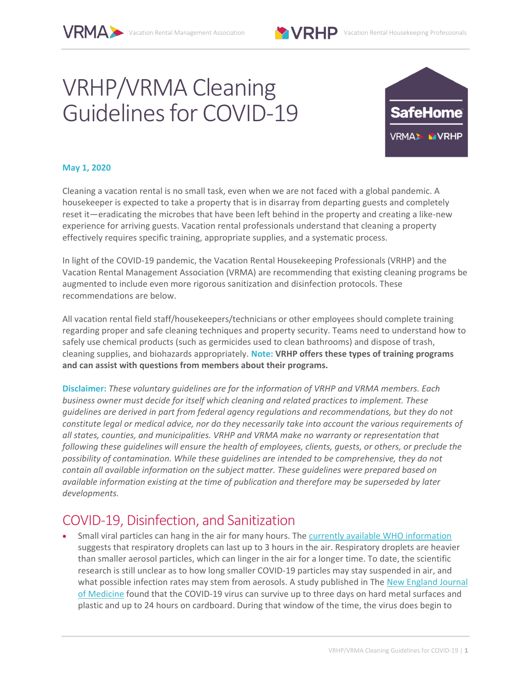

Vacation Rental Housekeeping Professionals

# VRHP/VRMA Cleaning Guidelines for COVID-19



#### **May 1, 2020**

Cleaning a vacation rental is no small task, even when we are not faced with a global pandemic. A housekeeper is expected to take a property that is in disarray from departing guests and completely reset it—eradicating the microbes that have been left behind in the property and creating a like-new experience for arriving guests. Vacation rental professionals understand that cleaning a property effectively requires specific training, appropriate supplies, and a systematic process.

In light of the COVID-19 pandemic, the Vacation Rental Housekeeping Professionals (VRHP) and the Vacation Rental Management Association (VRMA) are recommending that existing cleaning programs be augmented to include even more rigorous sanitization and disinfection protocols. These recommendations are below.

All vacation rental field staff/housekeepers/technicians or other employees should complete training regarding proper and safe cleaning techniques and property security. Teams need to understand how to safely use chemical products (such as germicides used to clean bathrooms) and dispose of trash, cleaning supplies, and biohazards appropriately. **Note: VRHP offers these types of training programs and can assist with questions from members about their programs.**

**Disclaimer:** *These voluntary guidelines are for the information of VRHP and VRMA members. Each business owner must decide for itself which cleaning and related practices to implement. These guidelines are derived in part from federal agency regulations and recommendations, but they do not constitute legal or medical advice, nor do they necessarily take into account the various requirements of all states, counties, and municipalities. VRHP and VRMA make no warranty or representation that following these guidelines will ensure the health of employees, clients, guests, or others, or preclude the possibility of contamination. While these guidelines are intended to be comprehensive, they do not contain all available information on the subject matter. These guidelines were prepared based on available information existing at the time of publication and therefore may be superseded by later developments.*

#### COVID-19, Disinfection, and Sanitization

Small viral particles can hang in the air for many hours. The currently available WHO information suggests that respiratory droplets can last up to 3 hours in the air. Respiratory droplets are heavier than smaller aerosol particles, which can linger in the air for a longer time. To date, the scientific research is still unclear as to how long smaller COVID-19 particles may stay suspended in air, and what possible infection rates may stem from aerosols. A study published in The New England Journal of Medicine found that the COVID-19 virus can survive up to three days on hard metal surfaces and plastic and up to 24 hours on cardboard. During that window of the time, the virus does begin to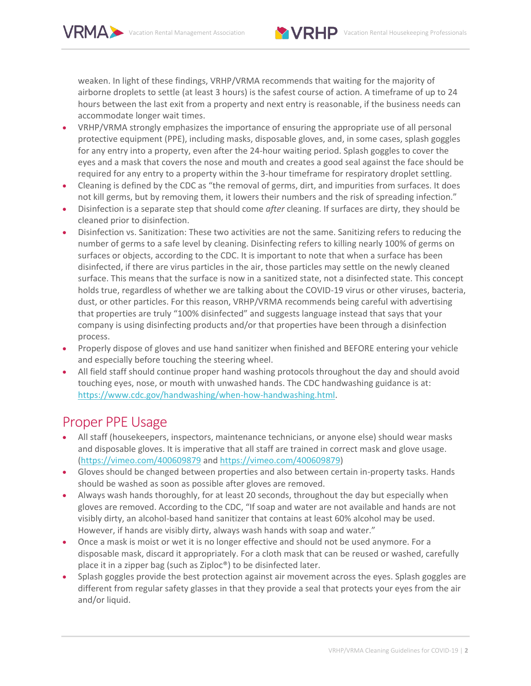

weaken. In light of these findings, VRHP/VRMA recommends that waiting for the majority of airborne droplets to settle (at least 3 hours) is the safest course of action. A timeframe of up to 24 hours between the last exit from a property and next entry is reasonable, if the business needs can accommodate longer wait times.

- x VRHP/VRMA strongly emphasizes the importance of ensuring the appropriate use of all personal protective equipment (PPE), including masks, disposable gloves, and, in some cases, splash goggles for any entry into a property, even after the 24-hour waiting period. Splash goggles to cover the eyes and a mask that covers the nose and mouth and creates a good seal against the face should be required for any entry to a property within the 3-hour timeframe for respiratory droplet settling.
- Cleaning is defined by the CDC as "the removal of germs, dirt, and impurities from surfaces. It does not kill germs, but by removing them, it lowers their numbers and the risk of spreading infection."
- x Disinfection is a separate step that should come *after* cleaning. If surfaces are dirty, they should be cleaned prior to disinfection.
- Disinfection vs. Sanitization: These two activities are not the same. Sanitizing refers to reducing the number of germs to a safe level by cleaning. Disinfecting refers to killing nearly 100% of germs on surfaces or objects, according to the CDC. It is important to note that when a surface has been disinfected, if there are virus particles in the air, those particles may settle on the newly cleaned surface. This means that the surface is now in a sanitized state, not a disinfected state. This concept holds true, regardless of whether we are talking about the COVID-19 virus or other viruses, bacteria, dust, or other particles. For this reason, VRHP/VRMA recommends being careful with advertising that properties are truly "100% disinfected" and suggests language instead that says that your company is using disinfecting products and/or that properties have been through a disinfection process.
- Properly dispose of gloves and use hand sanitizer when finished and BEFORE entering your vehicle and especially before touching the steering wheel.
- x All field staff should continue proper hand washing protocols throughout the day and should avoid touching eyes, nose, or mouth with unwashed hands. The CDC handwashing guidance is at: https://www.cdc.gov/handwashing/when-how-handwashing.html.

#### Proper PPE Usage

- All staff (housekeepers, inspectors, maintenance technicians, or anyone else) should wear masks and disposable gloves. It is imperative that all staff are trained in correct mask and glove usage. (https://vimeo.com/400609879 and https://vimeo.com/400609879)
- Gloves should be changed between properties and also between certain in-property tasks. Hands should be washed as soon as possible after gloves are removed.
- Always wash hands thoroughly, for at least 20 seconds, throughout the day but especially when gloves are removed. According to the CDC, "If soap and water are not available and hands are not visibly dirty, an alcohol-based hand sanitizer that contains at least 60% alcohol may be used. However, if hands are visibly dirty, always wash hands with soap and water."
- Once a mask is moist or wet it is no longer effective and should not be used anymore. For a disposable mask, discard it appropriately. For a cloth mask that can be reused or washed, carefully place it in a zipper bag (such as Ziploc®) to be disinfected later.
- Splash goggles provide the best protection against air movement across the eyes. Splash goggles are different from regular safety glasses in that they provide a seal that protects your eyes from the air and/or liquid.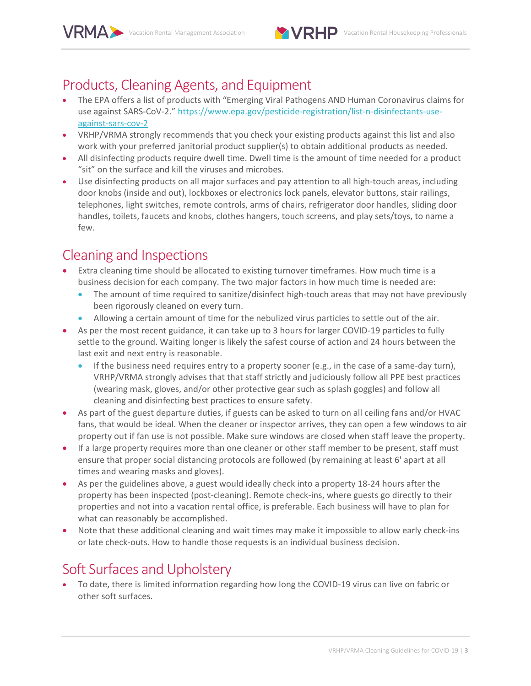

### Products, Cleaning Agents, and Equipment

- The EPA offers a list of products with "Emerging Viral Pathogens AND Human Coronavirus claims for use against SARS-CoV-2." https://www.epa.gov/pesticide-registration/list-n-disinfectants-useagainst-sars-cov-2
- x VRHP/VRMA strongly recommends that you check your existing products against this list and also work with your preferred janitorial product supplier(s) to obtain additional products as needed.
- All disinfecting products require dwell time. Dwell time is the amount of time needed for a product "sit" on the surface and kill the viruses and microbes.
- Use disinfecting products on all major surfaces and pay attention to all high-touch areas, including door knobs (inside and out), lockboxes or electronics lock panels, elevator buttons, stair railings, telephones, light switches, remote controls, arms of chairs, refrigerator door handles, sliding door handles, toilets, faucets and knobs, clothes hangers, touch screens, and play sets/toys, to name a few.

# Cleaning and Inspections

- Extra cleaning time should be allocated to existing turnover timeframes. How much time is a business decision for each company. The two major factors in how much time is needed are:
	- The amount of time required to sanitize/disinfect high-touch areas that may not have previously been rigorously cleaned on every turn.
	- Allowing a certain amount of time for the nebulized virus particles to settle out of the air.
- As per the most recent guidance, it can take up to 3 hours for larger COVID-19 particles to fully settle to the ground. Waiting longer is likely the safest course of action and 24 hours between the last exit and next entry is reasonable.
	- If the business need requires entry to a property sooner (e.g., in the case of a same-day turn), VRHP/VRMA strongly advises that that staff strictly and judiciously follow all PPE best practices (wearing mask, gloves, and/or other protective gear such as splash goggles) and follow all cleaning and disinfecting best practices to ensure safety.
- As part of the guest departure duties, if guests can be asked to turn on all ceiling fans and/or HVAC fans, that would be ideal. When the cleaner or inspector arrives, they can open a few windows to air property out if fan use is not possible. Make sure windows are closed when staff leave the property.
- If a large property requires more than one cleaner or other staff member to be present, staff must ensure that proper social distancing protocols are followed (by remaining at least 6' apart at all times and wearing masks and gloves).
- As per the guidelines above, a guest would ideally check into a property 18-24 hours after the property has been inspected (post-cleaning). Remote check-ins, where guests go directly to their properties and not into a vacation rental office, is preferable. Each business will have to plan for what can reasonably be accomplished.
- Note that these additional cleaning and wait times may make it impossible to allow early check-ins or late check-outs. How to handle those requests is an individual business decision.

# Soft Surfaces and Upholstery

To date, there is limited information regarding how long the COVID-19 virus can live on fabric or other soft surfaces.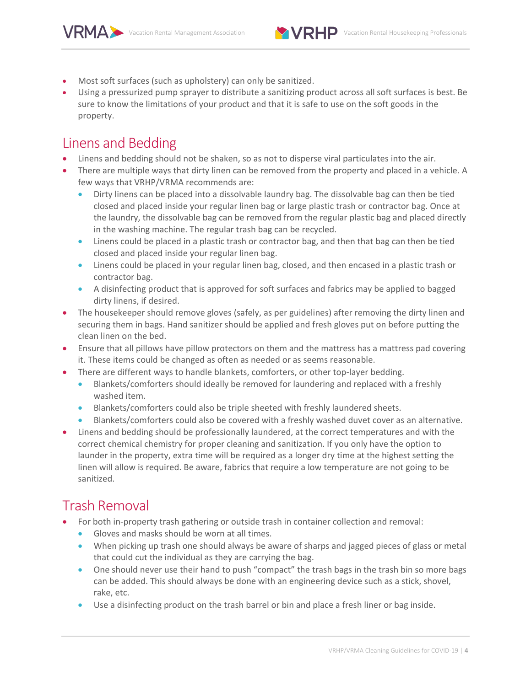

- Most soft surfaces (such as upholstery) can only be sanitized.
- Using a pressurized pump sprayer to distribute a sanitizing product across all soft surfaces is best. Be sure to know the limitations of your product and that it is safe to use on the soft goods in the property.

#### Linens and Bedding

- Linens and bedding should not be shaken, so as not to disperse viral particulates into the air.
- There are multiple ways that dirty linen can be removed from the property and placed in a vehicle. A few ways that VRHP/VRMA recommends are:
	- Dirty linens can be placed into a dissolvable laundry bag. The dissolvable bag can then be tied closed and placed inside your regular linen bag or large plastic trash or contractor bag. Once at the laundry, the dissolvable bag can be removed from the regular plastic bag and placed directly in the washing machine. The regular trash bag can be recycled.
	- Linens could be placed in a plastic trash or contractor bag, and then that bag can then be tied closed and placed inside your regular linen bag.
	- Linens could be placed in your regular linen bag, closed, and then encased in a plastic trash or contractor bag.
	- A disinfecting product that is approved for soft surfaces and fabrics may be applied to bagged dirty linens, if desired.
- The housekeeper should remove gloves (safely, as per guidelines) after removing the dirty linen and securing them in bags. Hand sanitizer should be applied and fresh gloves put on before putting the clean linen on the bed.
- Ensure that all pillows have pillow protectors on them and the mattress has a mattress pad covering it. These items could be changed as often as needed or as seems reasonable.
- There are different ways to handle blankets, comforters, or other top-layer bedding.
	- Blankets/comforters should ideally be removed for laundering and replaced with a freshly washed item.
	- Blankets/comforters could also be triple sheeted with freshly laundered sheets.
	- Blankets/comforters could also be covered with a freshly washed duvet cover as an alternative.
- Linens and bedding should be professionally laundered, at the correct temperatures and with the correct chemical chemistry for proper cleaning and sanitization. If you only have the option to launder in the property, extra time will be required as a longer dry time at the highest setting the linen will allow is required. Be aware, fabrics that require a low temperature are not going to be sanitized.

# Trash Removal

- For both in-property trash gathering or outside trash in container collection and removal:
	- x Gloves and masks should be worn at all times.
	- When picking up trash one should always be aware of sharps and jagged pieces of glass or metal that could cut the individual as they are carrying the bag.
	- One should never use their hand to push "compact" the trash bags in the trash bin so more bags can be added. This should always be done with an engineering device such as a stick, shovel, rake, etc.
	- Use a disinfecting product on the trash barrel or bin and place a fresh liner or bag inside.